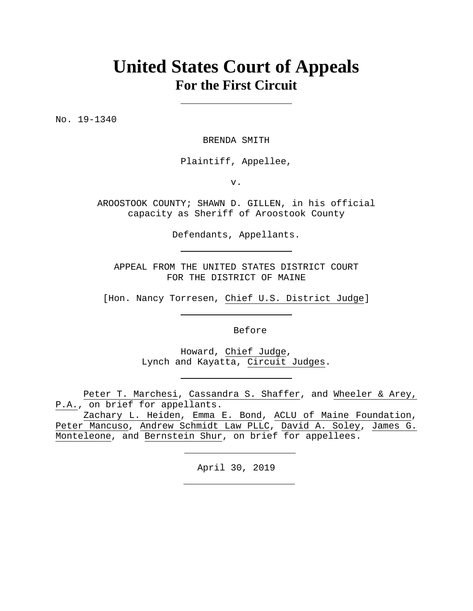## **United States Court of Appeals For the First Circuit**

No. 19-1340

BRENDA SMITH

Plaintiff, Appellee,

v.

AROOSTOOK COUNTY; SHAWN D. GILLEN, in his official capacity as Sheriff of Aroostook County

Defendants, Appellants.

APPEAL FROM THE UNITED STATES DISTRICT COURT FOR THE DISTRICT OF MAINE

[Hon. Nancy Torresen, Chief U.S. District Judge]

Before

Howard, Chief Judge, Lynch and Kayatta, Circuit Judges.

Peter T. Marchesi, Cassandra S. Shaffer, and Wheeler & Arey, P.A., on brief for appellants.

Zachary L. Heiden, Emma E. Bond, ACLU of Maine Foundation, Peter Mancuso, Andrew Schmidt Law PLLC, David A. Soley, James G. Monteleone, and Bernstein Shur, on brief for appellees.

April 30, 2019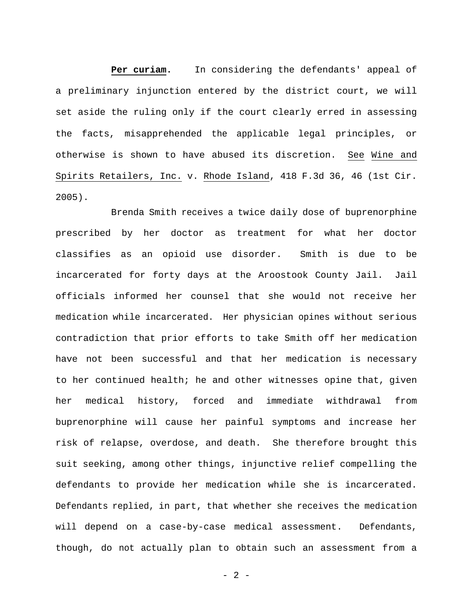**Per curiam.** In considering the defendants' appeal of a preliminary injunction entered by the district court, we will set aside the ruling only if the court clearly erred in assessing the facts, misapprehended the applicable legal principles, or otherwise is shown to have abused its discretion. See Wine and Spirits Retailers, Inc. v. Rhode Island, 418 F.3d 36, 46 (1st Cir. 2005).

Brenda Smith receives a twice daily dose of buprenorphine prescribed by her doctor as treatment for what her doctor classifies as an opioid use disorder. Smith is due to be incarcerated for forty days at the Aroostook County Jail. Jail officials informed her counsel that she would not receive her medication while incarcerated. Her physician opines without serious contradiction that prior efforts to take Smith off her medication have not been successful and that her medication is necessary to her continued health; he and other witnesses opine that, given her medical history, forced and immediate withdrawal from buprenorphine will cause her painful symptoms and increase her risk of relapse, overdose, and death. She therefore brought this suit seeking, among other things, injunctive relief compelling the defendants to provide her medication while she is incarcerated. Defendants replied, in part, that whether she receives the medication will depend on a case-by-case medical assessment. Defendants, though, do not actually plan to obtain such an assessment from a

 $-2 -$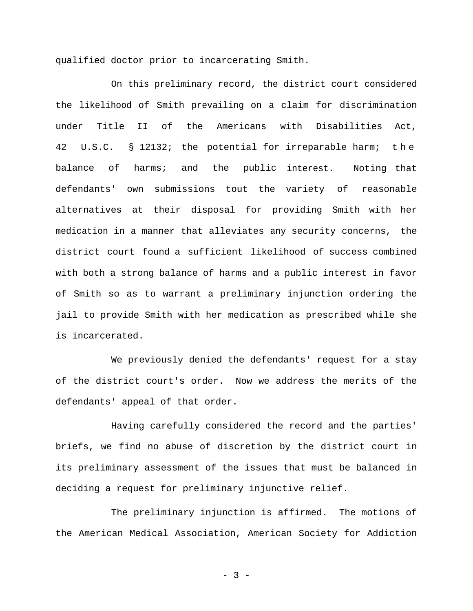qualified doctor prior to incarcerating Smith.

On this preliminary record, the district court considered the likelihood of Smith prevailing on a claim for discrimination under Title II of the Americans with Disabilities Act, 42 U.S.C. § 12132; the potential for irreparable harm; t h e balance of harms; and the public interest. Noting that defendants' own submissions tout the variety of reasonable alternatives at their disposal for providing Smith with her medication in a manner that alleviates any security concerns, the district court found a sufficient likelihood of success combined with both a strong balance of harms and a public interest in favor of Smith so as to warrant a preliminary injunction ordering the jail to provide Smith with her medication as prescribed while she is incarcerated.

We previously denied the defendants' request for a stay of the district court's order. Now we address the merits of the defendants' appeal of that order.

Having carefully considered the record and the parties' briefs, we find no abuse of discretion by the district court in its preliminary assessment of the issues that must be balanced in deciding a request for preliminary injunctive relief.

The preliminary injunction is affirmed. The motions of the American Medical Association, American Society for Addiction

- 3 -